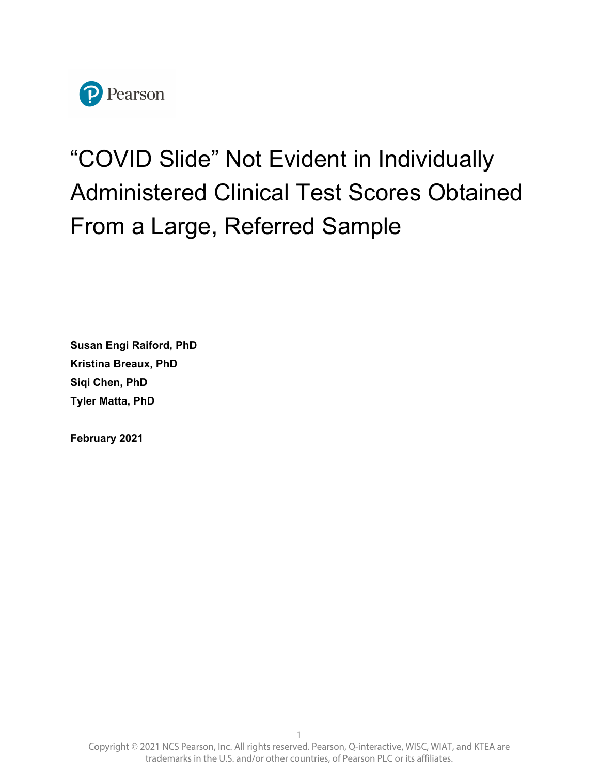

# "COVID Slide" Not Evident in Individually Administered Clinical Test Scores Obtained From a Large, Referred Sample

**Susan Engi Raiford, PhD Kristina Breaux, PhD Siqi Chen, PhD Tyler Matta, PhD** 

**February 2021**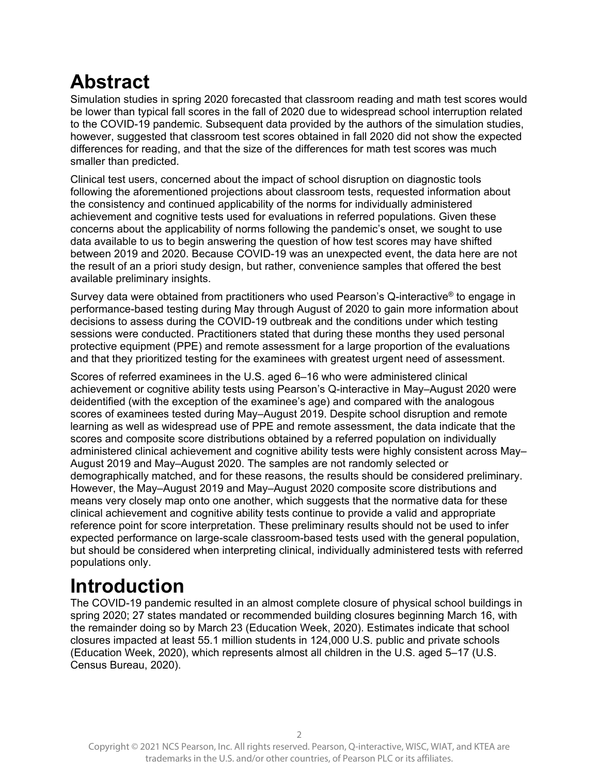# **Abstract**

Simulation studies in spring 2020 forecasted that classroom reading and math test scores would be lower than typical fall scores in the fall of 2020 due to widespread school interruption related to the COVID-19 pandemic. Subsequent data provided by the authors of the simulation studies, however, suggested that classroom test scores obtained in fall 2020 did not show the expected differences for reading, and that the size of the differences for math test scores was much smaller than predicted.

Clinical test users, concerned about the impact of school disruption on diagnostic tools following the aforementioned projections about classroom tests, requested information about the consistency and continued applicability of the norms for individually administered achievement and cognitive tests used for evaluations in referred populations. Given these concerns about the applicability of norms following the pandemic's onset, we sought to use data available to us to begin answering the question of how test scores may have shifted between 2019 and 2020. Because COVID-19 was an unexpected event, the data here are not the result of an a priori study design, but rather, convenience samples that offered the best available preliminary insights.

Survey data were obtained from practitioners who used Pearson's Q-interactive® to engage in performance-based testing during May through August of 2020 to gain more information about decisions to assess during the COVID-19 outbreak and the conditions under which testing sessions were conducted. Practitioners stated that during these months they used personal protective equipment (PPE) and remote assessment for a large proportion of the evaluations and that they prioritized testing for the examinees with greatest urgent need of assessment.

Scores of referred examinees in the U.S. aged 6–16 who were administered clinical achievement or cognitive ability tests using Pearson's Q-interactive in May–August 2020 were deidentified (with the exception of the examinee's age) and compared with the analogous scores of examinees tested during May–August 2019. Despite school disruption and remote learning as well as widespread use of PPE and remote assessment, the data indicate that the scores and composite score distributions obtained by a referred population on individually administered clinical achievement and cognitive ability tests were highly consistent across May– August 2019 and May–August 2020. The samples are not randomly selected or demographically matched, and for these reasons, the results should be considered preliminary. However, the May–August 2019 and May–August 2020 composite score distributions and means very closely map onto one another, which suggests that the normative data for these clinical achievement and cognitive ability tests continue to provide a valid and appropriate reference point for score interpretation. These preliminary results should not be used to infer expected performance on large-scale classroom-based tests used with the general population, but should be considered when interpreting clinical, individually administered tests with referred populations only.

# **Introduction**

The COVID-19 pandemic resulted in an almost complete closure of physical school buildings in spring 2020; 27 states mandated or recommended building closures beginning March 16, with the remainder doing so by March 23 (Education Week, 2020). Estimates indicate that school closures impacted at least 55.1 million students in 124,000 U.S. public and private schools (Education Week, 2020), which represents almost all children in the U.S. aged 5–17 (U.S. Census Bureau, 2020).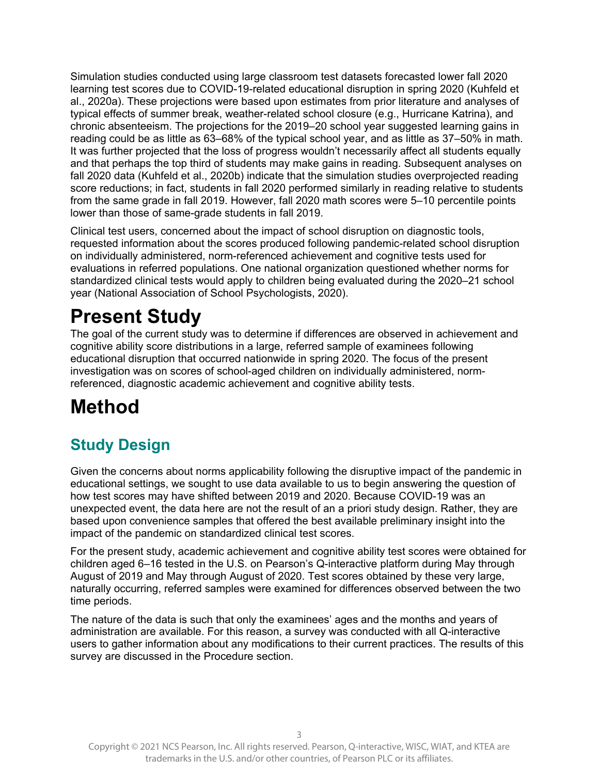Simulation studies conducted using large classroom test datasets forecasted lower fall 2020 learning test scores due to COVID-19-related educational disruption in spring 2020 (Kuhfeld et al., 2020a). These projections were based upon estimates from prior literature and analyses of typical effects of summer break, weather-related school closure (e.g., Hurricane Katrina), and chronic absenteeism. The projections for the 2019–20 school year suggested learning gains in reading could be as little as 63–68% of the typical school year, and as little as 37–50% in math. It was further projected that the loss of progress wouldn't necessarily affect all students equally and that perhaps the top third of students may make gains in reading. Subsequent analyses on fall 2020 data (Kuhfeld et al., 2020b) indicate that the simulation studies overprojected reading score reductions; in fact, students in fall 2020 performed similarly in reading relative to students from the same grade in fall 2019. However, fall 2020 math scores were 5–10 percentile points lower than those of same-grade students in fall 2019.

Clinical test users, concerned about the impact of school disruption on diagnostic tools, requested information about the scores produced following pandemic-related school disruption on individually administered, norm-referenced achievement and cognitive tests used for evaluations in referred populations. One national organization questioned whether norms for standardized clinical tests would apply to children being evaluated during the 2020–21 school year (National Association of School Psychologists, 2020).

# **Present Study**

The goal of the current study was to determine if differences are observed in achievement and cognitive ability score distributions in a large, referred sample of examinees following educational disruption that occurred nationwide in spring 2020. The focus of the present investigation was on scores of school-aged children on individually administered, normreferenced, diagnostic academic achievement and cognitive ability tests.

# **Method**

# **Study Design**

Given the concerns about norms applicability following the disruptive impact of the pandemic in educational settings, we sought to use data available to us to begin answering the question of how test scores may have shifted between 2019 and 2020. Because COVID-19 was an unexpected event, the data here are not the result of an a priori study design. Rather, they are based upon convenience samples that offered the best available preliminary insight into the impact of the pandemic on standardized clinical test scores.

For the present study, academic achievement and cognitive ability test scores were obtained for children aged 6–16 tested in the U.S. on Pearson's Q-interactive platform during May through August of 2019 and May through August of 2020. Test scores obtained by these very large, naturally occurring, referred samples were examined for differences observed between the two time periods.

The nature of the data is such that only the examinees' ages and the months and years of administration are available. For this reason, a survey was conducted with all Q-interactive users to gather information about any modifications to their current practices. The results of this survey are discussed in the Procedure section.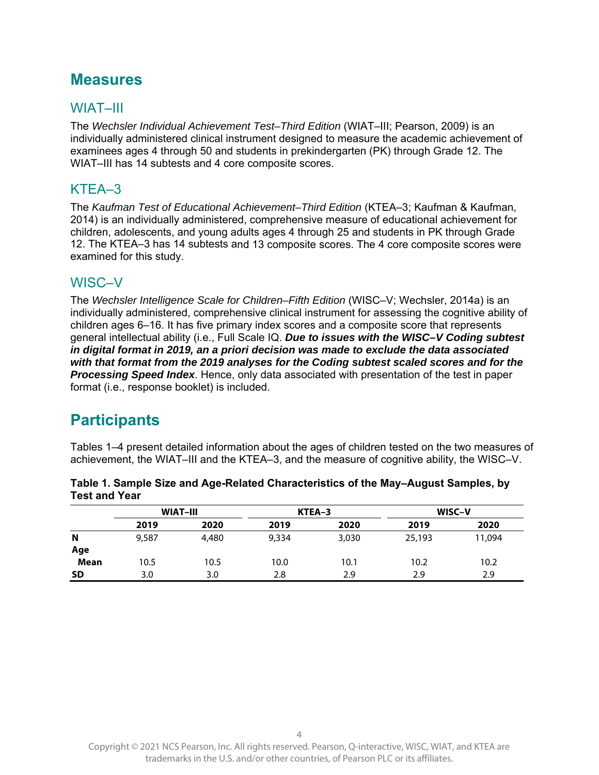## **Measures**

### WIAT–III

The *Wechsler Individual Achievement Test–Third Edition* (WIAT–III; Pearson, 2009) is an individually administered clinical instrument designed to measure the academic achievement of examinees ages 4 through 50 and students in prekindergarten (PK) through Grade 12. The WIAT–III has 14 subtests and 4 core composite scores.

### KTEA–3

The *Kaufman Test of Educational Achievement–Third Edition* (KTEA–3; Kaufman & Kaufman, 2014) is an individually administered, comprehensive measure of educational achievement for children, adolescents, and young adults ages 4 through 25 and students in PK through Grade 12. The KTEA–3 has 14 subtests and 13 composite scores. The 4 core composite scores were examined for this study.

#### WISC–V

The *Wechsler Intelligence Scale for Children–Fifth Edition* (WISC–V; Wechsler, 2014a) is an individually administered, comprehensive clinical instrument for assessing the cognitive ability of children ages 6–16. It has five primary index scores and a composite score that represents general intellectual ability (i.e., Full Scale IQ. *Due to issues with the WISC–V Coding subtest in digital format in 2019, an a priori decision was made to exclude the data associated with that format from the 2019 analyses for the Coding subtest scaled scores and for the Processing Speed Index*. Hence, only data associated with presentation of the test in paper format (i.e., response booklet) is included.

## **Participants**

Tables 1–4 present detailed information about the ages of children tested on the two measures of achievement, the WIAT–III and the KTEA–3, and the measure of cognitive ability, the WISC–V.

|             |       | <b>WIAT-III</b> |       | KTEA-3 |        | WISC-V |  |
|-------------|-------|-----------------|-------|--------|--------|--------|--|
|             | 2019  | 2020            | 2019  | 2020   | 2019   | 2020   |  |
| N           | 9,587 | 4,480           | 9,334 | 3,030  | 25,193 | 11,094 |  |
| Age         |       |                 |       |        |        |        |  |
| <b>Mean</b> | 10.5  | 10.5            | 10.0  | 10.1   | 10.2   | 10.2   |  |
| <b>SD</b>   | 3.0   | 3.0             | 2.8   | 2.9    | 2.9    | 2.9    |  |

| Table 1. Sample Size and Age-Related Characteristics of the May–August Samples, by |  |
|------------------------------------------------------------------------------------|--|
| Test and Year                                                                      |  |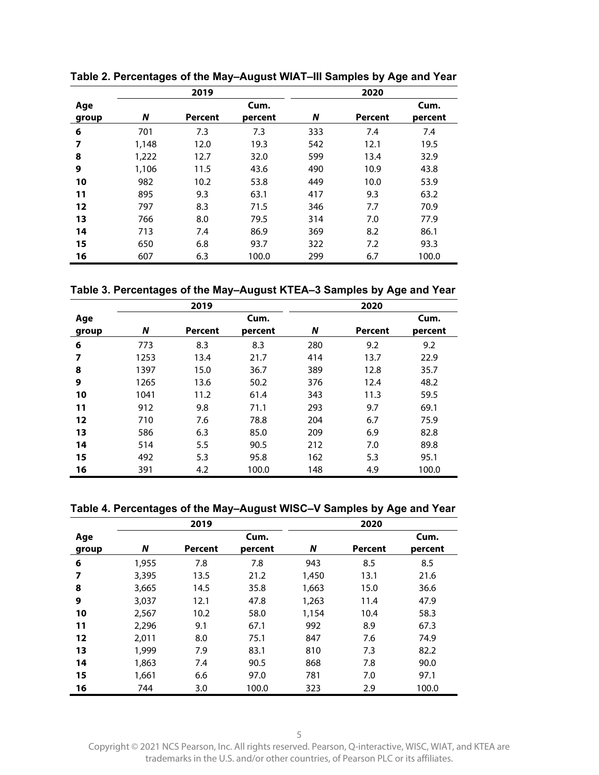|                         |       | 2019    |         |     | 2020    |         |
|-------------------------|-------|---------|---------|-----|---------|---------|
| Age                     |       |         | Cum.    |     |         | Cum.    |
| group                   | N     | Percent | percent | N   | Percent | percent |
| 6                       | 701   | 7.3     | 7.3     | 333 | 7.4     | 7.4     |
| $\overline{\mathbf{z}}$ | 1,148 | 12.0    | 19.3    | 542 | 12.1    | 19.5    |
| 8                       | 1,222 | 12.7    | 32.0    | 599 | 13.4    | 32.9    |
| 9                       | 1,106 | 11.5    | 43.6    | 490 | 10.9    | 43.8    |
| 10                      | 982   | 10.2    | 53.8    | 449 | 10.0    | 53.9    |
| 11                      | 895   | 9.3     | 63.1    | 417 | 9.3     | 63.2    |
| 12                      | 797   | 8.3     | 71.5    | 346 | 7.7     | 70.9    |
| 13                      | 766   | 8.0     | 79.5    | 314 | 7.0     | 77.9    |
| 14                      | 713   | 7.4     | 86.9    | 369 | 8.2     | 86.1    |
| 15                      | 650   | 6.8     | 93.7    | 322 | 7.2     | 93.3    |
| 16                      | 607   | 6.3     | 100.0   | 299 | 6.7     | 100.0   |

**Table 2. Percentages of the May–August WIAT–III Samples by Age and Year**

**Table 3. Percentages of the May–August KTEA–3 Samples by Age and Year**

|                         |      | 2019    |         |     | 2020    |         |
|-------------------------|------|---------|---------|-----|---------|---------|
| Age                     |      |         | Cum.    |     |         | Cum.    |
| group                   | N    | Percent | percent | N   | Percent | percent |
| 6                       | 773  | 8.3     | 8.3     | 280 | 9.2     | 9.2     |
| $\overline{\mathbf{z}}$ | 1253 | 13.4    | 21.7    | 414 | 13.7    | 22.9    |
| 8                       | 1397 | 15.0    | 36.7    | 389 | 12.8    | 35.7    |
| 9                       | 1265 | 13.6    | 50.2    | 376 | 12.4    | 48.2    |
| 10                      | 1041 | 11.2    | 61.4    | 343 | 11.3    | 59.5    |
| 11                      | 912  | 9.8     | 71.1    | 293 | 9.7     | 69.1    |
| 12                      | 710  | 7.6     | 78.8    | 204 | 6.7     | 75.9    |
| 13                      | 586  | 6.3     | 85.0    | 209 | 6.9     | 82.8    |
| 14                      | 514  | 5.5     | 90.5    | 212 | 7.0     | 89.8    |
| 15                      | 492  | 5.3     | 95.8    | 162 | 5.3     | 95.1    |
| 16                      | 391  | 4.2     | 100.0   | 148 | 4.9     | 100.0   |

**Table 4. Percentages of the May–August WISC–V Samples by Age and Year**

|       |       | 2019    |         |       | 2020    |         |
|-------|-------|---------|---------|-------|---------|---------|
| Age   |       |         | Cum.    |       |         | Cum.    |
| group | N     | Percent | percent | N     | Percent | percent |
| 6     | 1,955 | 7.8     | 7.8     | 943   | 8.5     | 8.5     |
| 7     | 3,395 | 13.5    | 21.2    | 1,450 | 13.1    | 21.6    |
| 8     | 3,665 | 14.5    | 35.8    | 1,663 | 15.0    | 36.6    |
| 9     | 3,037 | 12.1    | 47.8    | 1,263 | 11.4    | 47.9    |
| 10    | 2,567 | 10.2    | 58.0    | 1,154 | 10.4    | 58.3    |
| 11    | 2,296 | 9.1     | 67.1    | 992   | 8.9     | 67.3    |
| 12    | 2,011 | 8.0     | 75.1    | 847   | 7.6     | 74.9    |
| 13    | 1,999 | 7.9     | 83.1    | 810   | 7.3     | 82.2    |
| 14    | 1,863 | 7.4     | 90.5    | 868   | 7.8     | 90.0    |
| 15    | 1,661 | 6.6     | 97.0    | 781   | 7.0     | 97.1    |
| 16    | 744   | 3.0     | 100.0   | 323   | 2.9     | 100.0   |

Copyright © 2021 NCS Pearson, Inc. All rights reserved. Pearson, Q-interactive, WISC, WIAT, and KTEA are trademarks in the U.S. and/or other countries, of Pearson PLC or its affiliates.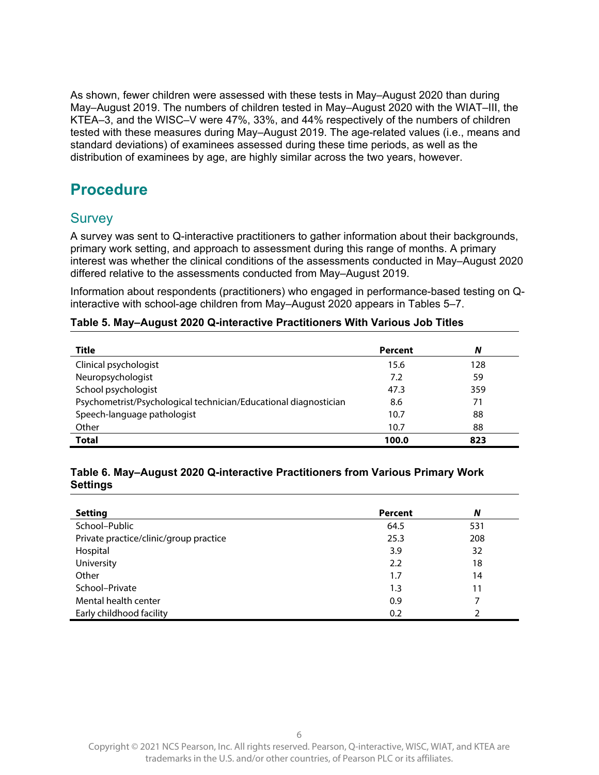As shown, fewer children were assessed with these tests in May–August 2020 than during May–August 2019. The numbers of children tested in May–August 2020 with the WIAT–III, the KTEA–3, and the WISC–V were 47%, 33%, and 44% respectively of the numbers of children tested with these measures during May–August 2019. The age-related values (i.e., means and standard deviations) of examinees assessed during these time periods, as well as the distribution of examinees by age, are highly similar across the two years, however.

## **Procedure**

#### **Survey**

A survey was sent to Q-interactive practitioners to gather information about their backgrounds, primary work setting, and approach to assessment during this range of months. A primary interest was whether the clinical conditions of the assessments conducted in May–August 2020 differed relative to the assessments conducted from May–August 2019.

Information about respondents (practitioners) who engaged in performance-based testing on Qinteractive with school-age children from May–August 2020 appears in Tables 5–7.

#### **Table 5. May–August 2020 Q-interactive Practitioners With Various Job Titles**

| Title                                                            | Percent | N   |
|------------------------------------------------------------------|---------|-----|
| Clinical psychologist                                            | 15.6    | 128 |
| Neuropsychologist                                                | 7.2     | 59  |
| School psychologist                                              | 47.3    | 359 |
| Psychometrist/Psychological technician/Educational diagnostician | 8.6     | 71  |
| Speech-language pathologist                                      | 10.7    | 88  |
| Other                                                            | 10.7    | 88  |
| <b>Total</b>                                                     | 100.0   | 823 |

#### **Table 6. May–August 2020 Q-interactive Practitioners from Various Primary Work Settings**

| <b>Setting</b>                         | Percent | N   |
|----------------------------------------|---------|-----|
| School-Public                          | 64.5    | 531 |
| Private practice/clinic/group practice | 25.3    | 208 |
| Hospital                               | 3.9     | 32  |
| University                             | 2.2     | 18  |
| Other                                  | 1.7     | 14  |
| School-Private                         | 1.3     | 11  |
| Mental health center                   | 0.9     | 7   |
| Early childhood facility               | 0.2     | າ   |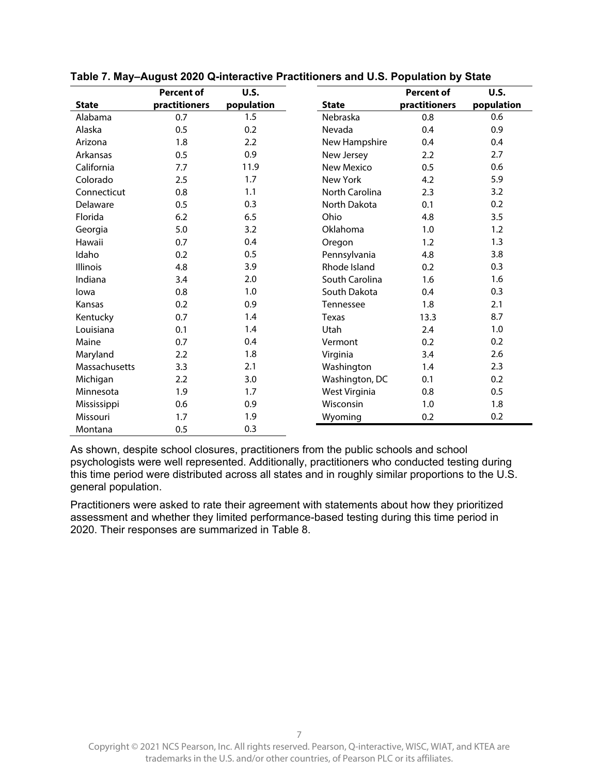|               | <b>Percent of</b> | U.S.       |                  | <b>Percent of</b> | U.S.       |
|---------------|-------------------|------------|------------------|-------------------|------------|
| <b>State</b>  | practitioners     | population | <b>State</b>     | practitioners     | population |
| Alabama       | 0.7               | 1.5        | Nebraska         | 0.8               | 0.6        |
| Alaska        | 0.5               | 0.2        | Nevada           | 0.4               | 0.9        |
| Arizona       | 1.8               | 2.2        | New Hampshire    | 0.4               | 0.4        |
| Arkansas      | 0.5               | 0.9        | New Jersey       | 2.2               | 2.7        |
| California    | 7.7               | 11.9       | New Mexico       | 0.5               | 0.6        |
| Colorado      | 2.5               | 1.7        | New York         | 4.2               | 5.9        |
| Connecticut   | 0.8               | 1.1        | North Carolina   | 2.3               | 3.2        |
| Delaware      | 0.5               | 0.3        | North Dakota     | 0.1               | 0.2        |
| Florida       | 6.2               | 6.5        | Ohio             | 4.8               | 3.5        |
| Georgia       | 5.0               | 3.2        | Oklahoma         | 1.0               | 1.2        |
| Hawaii        | 0.7               | 0.4        | Oregon           | 1.2               | 1.3        |
| Idaho         | 0.2               | 0.5        | Pennsylvania     | 4.8               | 3.8        |
| Illinois      | 4.8               | 3.9        | Rhode Island     | 0.2               | 0.3        |
| Indiana       | 3.4               | 2.0        | South Carolina   | 1.6               | 1.6        |
| lowa          | 0.8               | 1.0        | South Dakota     | 0.4               | 0.3        |
| Kansas        | 0.2               | 0.9        | <b>Tennessee</b> | 1.8               | 2.1        |
| Kentucky      | 0.7               | 1.4        | <b>Texas</b>     | 13.3              | 8.7        |
| Louisiana     | 0.1               | 1.4        | Utah             | 2.4               | 1.0        |
| Maine         | 0.7               | 0.4        | Vermont          | 0.2               | 0.2        |
| Maryland      | 2.2               | 1.8        | Virginia         | 3.4               | 2.6        |
| Massachusetts | 3.3               | 2.1        | Washington       | 1.4               | 2.3        |
| Michigan      | 2.2               | 3.0        | Washington, DC   | 0.1               | 0.2        |
| Minnesota     | 1.9               | 1.7        | West Virginia    | 0.8               | 0.5        |
| Mississippi   | 0.6               | 0.9        | Wisconsin        | 1.0               | 1.8        |
| Missouri      | 1.7               | 1.9        | Wyoming          | 0.2               | 0.2        |
| Montana       | 0.5               | 0.3        |                  |                   |            |

**Table 7. May–August 2020 Q-interactive Practitioners and U.S. Population by State** 

As shown, despite school closures, practitioners from the public schools and school psychologists were well represented. Additionally, practitioners who conducted testing during this time period were distributed across all states and in roughly similar proportions to the U.S. general population.

Practitioners were asked to rate their agreement with statements about how they prioritized assessment and whether they limited performance-based testing during this time period in 2020. Their responses are summarized in Table 8.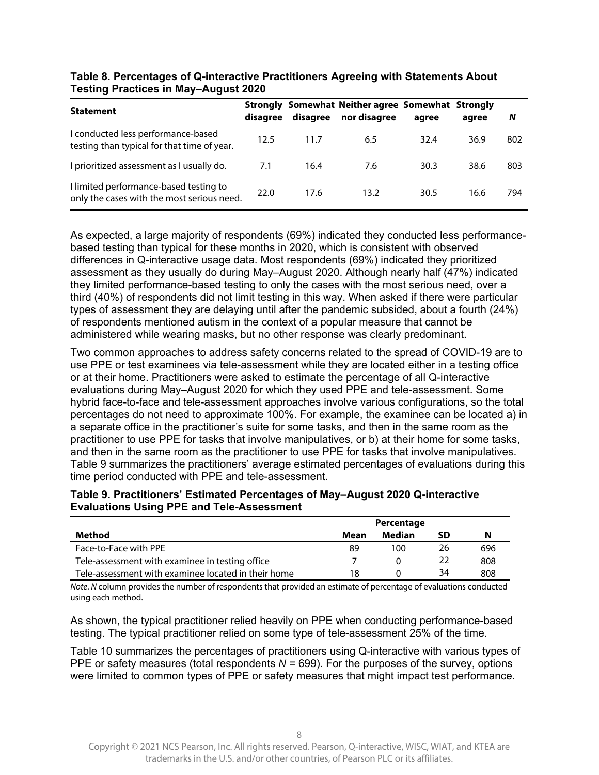| <b>Statement</b>                                                                     | disagree | disagree | Strongly Somewhat Neither agree Somewhat Strongly<br>nor disagree | aaree | agree | N   |
|--------------------------------------------------------------------------------------|----------|----------|-------------------------------------------------------------------|-------|-------|-----|
| I conducted less performance-based<br>testing than typical for that time of year.    | 12.5     | 11.7     | 6.5                                                               | 32.4  | 36.9  | 802 |
| I prioritized assessment as I usually do.                                            | 7.1      | 16.4     | 7.6                                                               | 30.3  | 38.6  | 803 |
| I limited performance-based testing to<br>only the cases with the most serious need. | 22.0     | 17.6     | 13.2                                                              | 30.5  | 16.6  | 794 |

#### **Table 8. Percentages of Q-interactive Practitioners Agreeing with Statements About Testing Practices in May–August 2020**

As expected, a large majority of respondents (69%) indicated they conducted less performancebased testing than typical for these months in 2020, which is consistent with observed differences in Q-interactive usage data. Most respondents (69%) indicated they prioritized assessment as they usually do during May–August 2020. Although nearly half (47%) indicated they limited performance-based testing to only the cases with the most serious need, over a third (40%) of respondents did not limit testing in this way. When asked if there were particular types of assessment they are delaying until after the pandemic subsided, about a fourth (24%) of respondents mentioned autism in the context of a popular measure that cannot be administered while wearing masks, but no other response was clearly predominant.

Two common approaches to address safety concerns related to the spread of COVID-19 are to use PPE or test examinees via tele-assessment while they are located either in a testing office or at their home. Practitioners were asked to estimate the percentage of all Q-interactive evaluations during May–August 2020 for which they used PPE and tele-assessment. Some hybrid face-to-face and tele-assessment approaches involve various configurations, so the total percentages do not need to approximate 100%. For example, the examinee can be located a) in a separate office in the practitioner's suite for some tasks, and then in the same room as the practitioner to use PPE for tasks that involve manipulatives, or b) at their home for some tasks, and then in the same room as the practitioner to use PPE for tasks that involve manipulatives. Table 9 summarizes the practitioners' average estimated percentages of evaluations during this time period conducted with PPE and tele-assessment.

#### **Table 9. Practitioners' Estimated Percentages of May–August 2020 Q-interactive Evaluations Using PPE and Tele-Assessment**

|                                                     |      | Percentage    |    |     |
|-----------------------------------------------------|------|---------------|----|-----|
| Method                                              | Mean | <b>Median</b> | SD | N   |
| Face-to-Face with PPE                               | 89   | 100           | 26 | 696 |
| Tele-assessment with examinee in testing office     |      |               | 22 | 808 |
| Tele-assessment with examinee located in their home | 18   |               | 34 | 808 |

Note. N column provides the number of respondents that provided an estimate of percentage of evaluations conducted using each method.

As shown, the typical practitioner relied heavily on PPE when conducting performance-based testing. The typical practitioner relied on some type of tele-assessment 25% of the time.

Table 10 summarizes the percentages of practitioners using Q-interactive with various types of PPE or safety measures (total respondents  $N = 699$ ). For the purposes of the survey, options were limited to common types of PPE or safety measures that might impact test performance.

Copyright © 2021 NCS Pearson, Inc. All rights reserved. Pearson, Q-interactive, WISC, WIAT, and KTEA are trademarks in the U.S. and/or other countries, of Pearson PLC or its affiliates.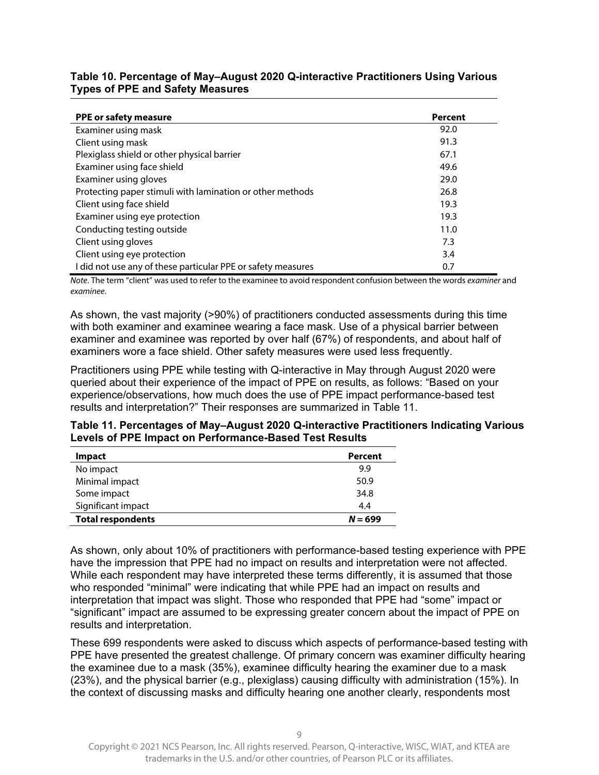#### **Table 10. Percentage of May–August 2020 Q-interactive Practitioners Using Various Types of PPE and Safety Measures**

| <b>PPE or safety measure</b>                                 | Percent |
|--------------------------------------------------------------|---------|
| Examiner using mask                                          | 92.0    |
| Client using mask                                            | 91.3    |
| Plexiglass shield or other physical barrier                  | 67.1    |
| Examiner using face shield                                   | 49.6    |
| Examiner using gloves                                        | 29.0    |
| Protecting paper stimuli with lamination or other methods    | 26.8    |
| Client using face shield                                     | 19.3    |
| Examiner using eye protection                                | 19.3    |
| Conducting testing outside                                   | 11.0    |
| Client using gloves                                          | 7.3     |
| Client using eye protection                                  | 3.4     |
| I did not use any of these particular PPE or safety measures | 0.7     |

Note. The term "client" was used to refer to the examinee to avoid respondent confusion between the words examiner and examinee.

As shown, the vast majority (>90%) of practitioners conducted assessments during this time with both examiner and examinee wearing a face mask. Use of a physical barrier between examiner and examinee was reported by over half (67%) of respondents, and about half of examiners wore a face shield. Other safety measures were used less frequently.

Practitioners using PPE while testing with Q-interactive in May through August 2020 were queried about their experience of the impact of PPE on results, as follows: "Based on your experience/observations, how much does the use of PPE impact performance-based test results and interpretation?" Their responses are summarized in Table 11.

**Table 11. Percentages of May–August 2020 Q-interactive Practitioners Indicating Various Levels of PPE Impact on Performance-Based Test Results** 

| <b>Impact</b>            | Percent   |
|--------------------------|-----------|
| No impact                | 9.9       |
| Minimal impact           | 50.9      |
| Some impact              | 34.8      |
| Significant impact       | 4.4       |
| <b>Total respondents</b> | $N = 699$ |

As shown, only about 10% of practitioners with performance-based testing experience with PPE have the impression that PPE had no impact on results and interpretation were not affected. While each respondent may have interpreted these terms differently, it is assumed that those who responded "minimal" were indicating that while PPE had an impact on results and interpretation that impact was slight. Those who responded that PPE had "some" impact or "significant" impact are assumed to be expressing greater concern about the impact of PPE on results and interpretation.

These 699 respondents were asked to discuss which aspects of performance-based testing with PPE have presented the greatest challenge. Of primary concern was examiner difficulty hearing the examinee due to a mask (35%), examinee difficulty hearing the examiner due to a mask (23%), and the physical barrier (e.g., plexiglass) causing difficulty with administration (15%). In the context of discussing masks and difficulty hearing one another clearly, respondents most

Copyright © 2021 NCS Pearson, Inc. All rights reserved. Pearson, Q-interactive, WISC, WIAT, and KTEA are trademarks in the U.S. and/or other countries, of Pearson PLC or its affiliates.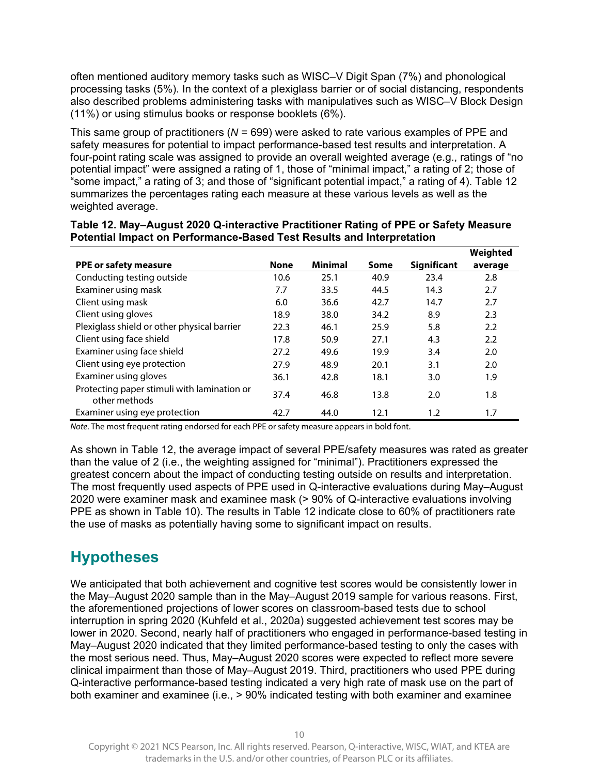often mentioned auditory memory tasks such as WISC–V Digit Span (7%) and phonological processing tasks (5%). In the context of a plexiglass barrier or of social distancing, respondents also described problems administering tasks with manipulatives such as WISC–V Block Design (11%) or using stimulus books or response booklets (6%).

This same group of practitioners (*N* = 699) were asked to rate various examples of PPE and safety measures for potential to impact performance-based test results and interpretation. A four-point rating scale was assigned to provide an overall weighted average (e.g., ratings of "no potential impact" were assigned a rating of 1, those of "minimal impact," a rating of 2; those of "some impact," a rating of 3; and those of "significant potential impact," a rating of 4). Table 12 summarizes the percentages rating each measure at these various levels as well as the weighted average.

|                                                              |             |                |      |                    | Weighted |
|--------------------------------------------------------------|-------------|----------------|------|--------------------|----------|
| PPE or safety measure                                        | <b>None</b> | <b>Minimal</b> | Some | <b>Significant</b> | average  |
| Conducting testing outside                                   | 10.6        | 25.1           | 40.9 | 23.4               | 2.8      |
| Examiner using mask                                          | 7.7         | 33.5           | 44.5 | 14.3               | 2.7      |
| Client using mask                                            | 6.0         | 36.6           | 42.7 | 14.7               | 2.7      |
| Client using gloves                                          | 18.9        | 38.0           | 34.2 | 8.9                | 2.3      |
| Plexiglass shield or other physical barrier                  | 22.3        | 46.1           | 25.9 | 5.8                | 2.2      |
| Client using face shield                                     | 17.8        | 50.9           | 27.1 | 4.3                | 2.2      |
| Examiner using face shield                                   | 27.2        | 49.6           | 19.9 | 3.4                | 2.0      |
| Client using eye protection                                  | 27.9        | 48.9           | 20.1 | 3.1                | 2.0      |
| Examiner using gloves                                        | 36.1        | 42.8           | 18.1 | 3.0                | 1.9      |
| Protecting paper stimuli with lamination or<br>other methods | 37.4        | 46.8           | 13.8 | 2.0                | 1.8      |
| Examiner using eye protection                                | 42.7        | 44.0           | 12.1 | 1.2                | 1.7      |

#### **Table 12. May–August 2020 Q-interactive Practitioner Rating of PPE or Safety Measure Potential Impact on Performance-Based Test Results and Interpretation**

Note. The most frequent rating endorsed for each PPE or safety measure appears in bold font.

As shown in Table 12, the average impact of several PPE/safety measures was rated as greater than the value of 2 (i.e., the weighting assigned for "minimal"). Practitioners expressed the greatest concern about the impact of conducting testing outside on results and interpretation. The most frequently used aspects of PPE used in Q-interactive evaluations during May–August 2020 were examiner mask and examinee mask (> 90% of Q-interactive evaluations involving PPE as shown in Table 10). The results in Table 12 indicate close to 60% of practitioners rate the use of masks as potentially having some to significant impact on results.

## **Hypotheses**

We anticipated that both achievement and cognitive test scores would be consistently lower in the May–August 2020 sample than in the May–August 2019 sample for various reasons. First, the aforementioned projections of lower scores on classroom-based tests due to school interruption in spring 2020 (Kuhfeld et al., 2020a) suggested achievement test scores may be lower in 2020. Second, nearly half of practitioners who engaged in performance-based testing in May–August 2020 indicated that they limited performance-based testing to only the cases with the most serious need. Thus, May–August 2020 scores were expected to reflect more severe clinical impairment than those of May–August 2019. Third, practitioners who used PPE during Q-interactive performance-based testing indicated a very high rate of mask use on the part of both examiner and examinee (i.e., > 90% indicated testing with both examiner and examinee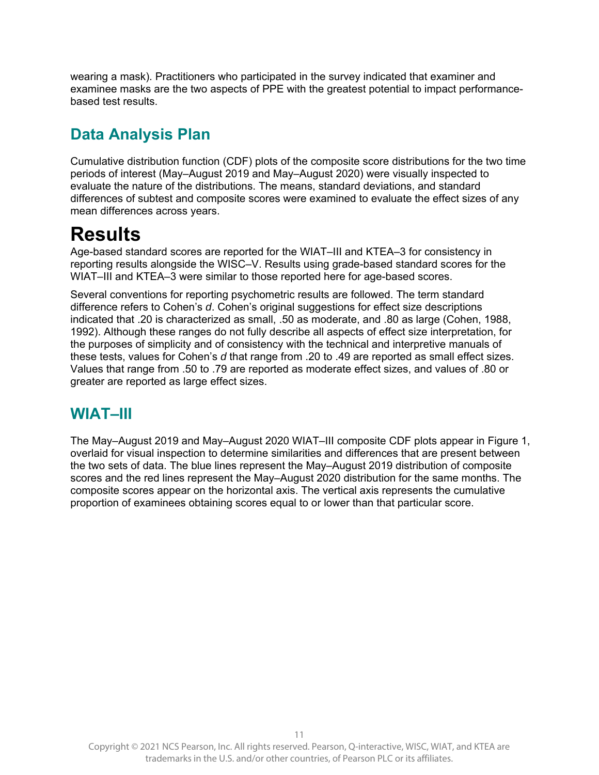wearing a mask). Practitioners who participated in the survey indicated that examiner and examinee masks are the two aspects of PPE with the greatest potential to impact performancebased test results.

# **Data Analysis Plan**

Cumulative distribution function (CDF) plots of the composite score distributions for the two time periods of interest (May–August 2019 and May–August 2020) were visually inspected to evaluate the nature of the distributions. The means, standard deviations, and standard differences of subtest and composite scores were examined to evaluate the effect sizes of any mean differences across years.

# **Results**

Age-based standard scores are reported for the WIAT–III and KTEA–3 for consistency in reporting results alongside the WISC–V. Results using grade-based standard scores for the WIAT–III and KTEA–3 were similar to those reported here for age-based scores.

Several conventions for reporting psychometric results are followed. The term standard difference refers to Cohen's *d*. Cohen's original suggestions for effect size descriptions indicated that .20 is characterized as small, .50 as moderate, and .80 as large (Cohen, 1988, 1992). Although these ranges do not fully describe all aspects of effect size interpretation, for the purposes of simplicity and of consistency with the technical and interpretive manuals of these tests, values for Cohen's *d* that range from .20 to .49 are reported as small effect sizes. Values that range from .50 to .79 are reported as moderate effect sizes, and values of .80 or greater are reported as large effect sizes.

## **WIAT–III**

The May–August 2019 and May–August 2020 WIAT–III composite CDF plots appear in Figure 1, overlaid for visual inspection to determine similarities and differences that are present between the two sets of data. The blue lines represent the May–August 2019 distribution of composite scores and the red lines represent the May–August 2020 distribution for the same months. The composite scores appear on the horizontal axis. The vertical axis represents the cumulative proportion of examinees obtaining scores equal to or lower than that particular score.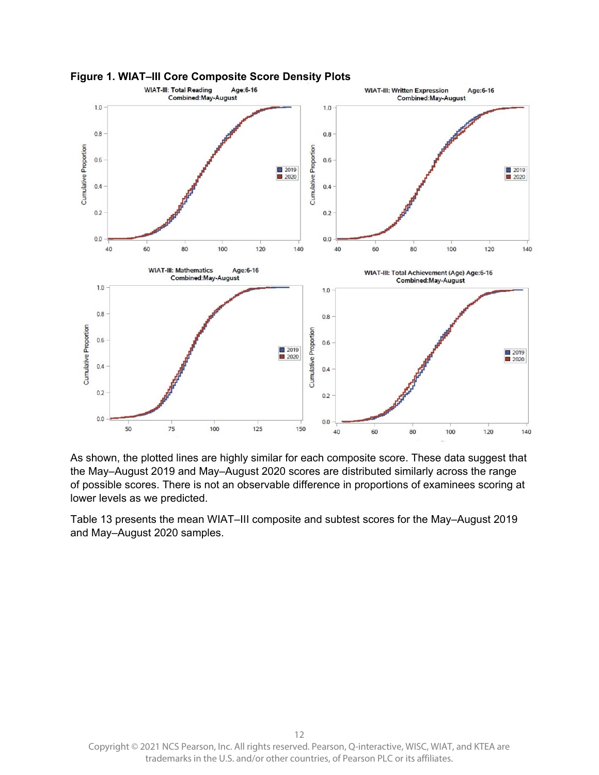



As shown, the plotted lines are highly similar for each composite score. These data suggest that the May–August 2019 and May–August 2020 scores are distributed similarly across the range of possible scores. There is not an observable difference in proportions of examinees scoring at lower levels as we predicted.

Table 13 presents the mean WIAT–III composite and subtest scores for the May–August 2019 and May–August 2020 samples.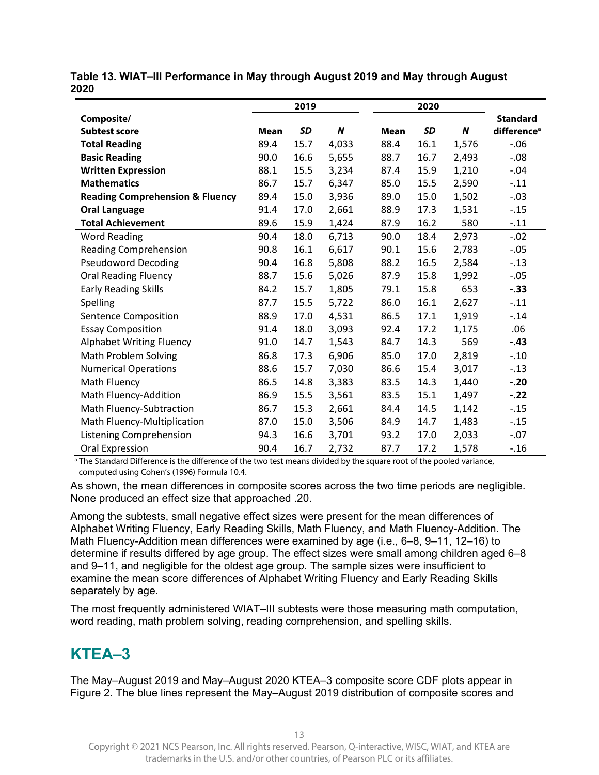|                                            |      | 2019      |                  |      | 2020      |       |                         |
|--------------------------------------------|------|-----------|------------------|------|-----------|-------|-------------------------|
| Composite/                                 |      |           |                  |      |           |       | <b>Standard</b>         |
| <b>Subtest score</b>                       | Mean | <b>SD</b> | $\boldsymbol{N}$ | Mean | <b>SD</b> | N     | difference <sup>a</sup> |
| <b>Total Reading</b>                       | 89.4 | 15.7      | 4,033            | 88.4 | 16.1      | 1,576 | $-0.06$                 |
| <b>Basic Reading</b>                       | 90.0 | 16.6      | 5,655            | 88.7 | 16.7      | 2,493 | $-.08$                  |
| <b>Written Expression</b>                  | 88.1 | 15.5      | 3,234            | 87.4 | 15.9      | 1,210 | $-.04$                  |
| <b>Mathematics</b>                         | 86.7 | 15.7      | 6,347            | 85.0 | 15.5      | 2,590 | $-.11$                  |
| <b>Reading Comprehension &amp; Fluency</b> | 89.4 | 15.0      | 3,936            | 89.0 | 15.0      | 1,502 | $-.03$                  |
| <b>Oral Language</b>                       | 91.4 | 17.0      | 2,661            | 88.9 | 17.3      | 1,531 | $-.15$                  |
| <b>Total Achievement</b>                   | 89.6 | 15.9      | 1,424            | 87.9 | 16.2      | 580   | $-.11$                  |
| <b>Word Reading</b>                        | 90.4 | 18.0      | 6,713            | 90.0 | 18.4      | 2,973 | $-.02$                  |
| <b>Reading Comprehension</b>               | 90.8 | 16.1      | 6,617            | 90.1 | 15.6      | 2,783 | $-.05$                  |
| <b>Pseudoword Decoding</b>                 | 90.4 | 16.8      | 5,808            | 88.2 | 16.5      | 2,584 | $-.13$                  |
| <b>Oral Reading Fluency</b>                | 88.7 | 15.6      | 5,026            | 87.9 | 15.8      | 1,992 | $-.05$                  |
| <b>Early Reading Skills</b>                | 84.2 | 15.7      | 1,805            | 79.1 | 15.8      | 653   | $-.33$                  |
| Spelling                                   | 87.7 | 15.5      | 5,722            | 86.0 | 16.1      | 2,627 | $-.11$                  |
| Sentence Composition                       | 88.9 | 17.0      | 4,531            | 86.5 | 17.1      | 1,919 | $-.14$                  |
| <b>Essay Composition</b>                   | 91.4 | 18.0      | 3,093            | 92.4 | 17.2      | 1,175 | .06                     |
| <b>Alphabet Writing Fluency</b>            | 91.0 | 14.7      | 1,543            | 84.7 | 14.3      | 569   | $-.43$                  |
| Math Problem Solving                       | 86.8 | 17.3      | 6,906            | 85.0 | 17.0      | 2,819 | $-.10$                  |
| <b>Numerical Operations</b>                | 88.6 | 15.7      | 7,030            | 86.6 | 15.4      | 3,017 | $-.13$                  |
| Math Fluency                               | 86.5 | 14.8      | 3,383            | 83.5 | 14.3      | 1,440 | $-.20$                  |
| Math Fluency-Addition                      | 86.9 | 15.5      | 3,561            | 83.5 | 15.1      | 1,497 | $-.22$                  |
| Math Fluency-Subtraction                   | 86.7 | 15.3      | 2,661            | 84.4 | 14.5      | 1,142 | $-.15$                  |
| Math Fluency-Multiplication                | 87.0 | 15.0      | 3,506            | 84.9 | 14.7      | 1,483 | $-.15$                  |
| Listening Comprehension                    | 94.3 | 16.6      | 3,701            | 93.2 | 17.0      | 2,033 | $-.07$                  |
| Oral Expression                            | 90.4 | 16.7      | 2,732            | 87.7 | 17.2      | 1,578 | $-.16$                  |

**Table 13. WIAT–III Performance in May through August 2019 and May through August 2020** 

<sup>a</sup> The Standard Difference is the difference of the two test means divided by the square root of the pooled variance, computed using Cohen's (1996) Formula 10.4.

As shown, the mean differences in composite scores across the two time periods are negligible. None produced an effect size that approached .20.

Among the subtests, small negative effect sizes were present for the mean differences of Alphabet Writing Fluency, Early Reading Skills, Math Fluency, and Math Fluency-Addition. The Math Fluency-Addition mean differences were examined by age (i.e., 6–8, 9–11, 12–16) to determine if results differed by age group. The effect sizes were small among children aged 6–8 and 9–11, and negligible for the oldest age group. The sample sizes were insufficient to examine the mean score differences of Alphabet Writing Fluency and Early Reading Skills separately by age.

The most frequently administered WIAT–III subtests were those measuring math computation, word reading, math problem solving, reading comprehension, and spelling skills.

## **KTEA–3**

The May–August 2019 and May–August 2020 KTEA–3 composite score CDF plots appear in Figure 2. The blue lines represent the May–August 2019 distribution of composite scores and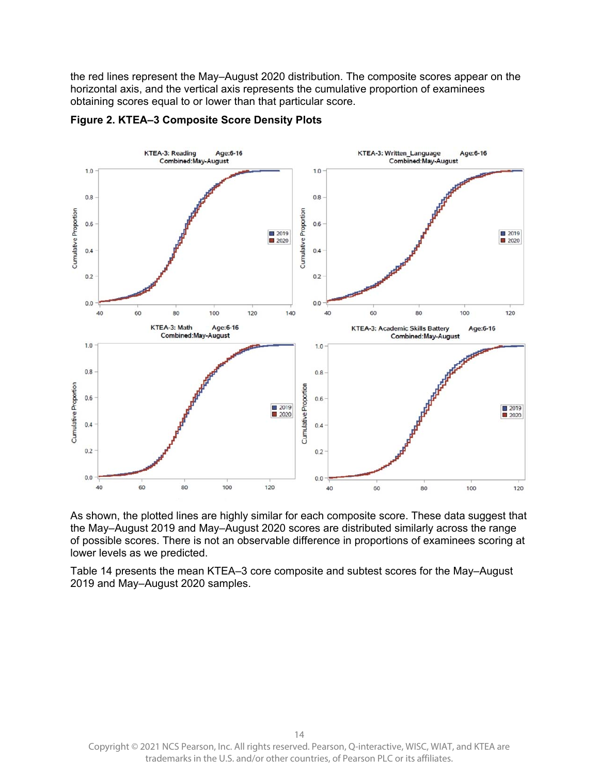the red lines represent the May–August 2020 distribution. The composite scores appear on the horizontal axis, and the vertical axis represents the cumulative proportion of examinees obtaining scores equal to or lower than that particular score.



#### **Figure 2. KTEA–3 Composite Score Density Plots**

As shown, the plotted lines are highly similar for each composite score. These data suggest that the May–August 2019 and May–August 2020 scores are distributed similarly across the range of possible scores. There is not an observable difference in proportions of examinees scoring at lower levels as we predicted.

Table 14 presents the mean KTEA–3 core composite and subtest scores for the May–August 2019 and May–August 2020 samples.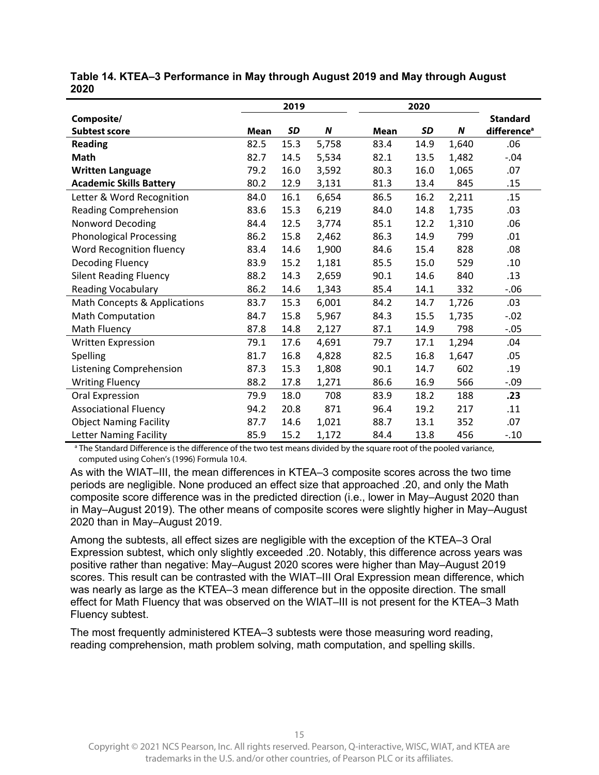|                                 |             | 2019      |       |      | 2020 |                  |                         |
|---------------------------------|-------------|-----------|-------|------|------|------------------|-------------------------|
| Composite/                      |             |           |       |      |      |                  | <b>Standard</b>         |
| <b>Subtest score</b>            | <b>Mean</b> | <b>SD</b> | N     | Mean | SD   | $\boldsymbol{N}$ | difference <sup>a</sup> |
| <b>Reading</b>                  | 82.5        | 15.3      | 5,758 | 83.4 | 14.9 | 1,640            | .06                     |
| <b>Math</b>                     | 82.7        | 14.5      | 5,534 | 82.1 | 13.5 | 1,482            | $-.04$                  |
| <b>Written Language</b>         | 79.2        | 16.0      | 3,592 | 80.3 | 16.0 | 1,065            | .07                     |
| <b>Academic Skills Battery</b>  | 80.2        | 12.9      | 3,131 | 81.3 | 13.4 | 845              | .15                     |
| Letter & Word Recognition       | 84.0        | 16.1      | 6,654 | 86.5 | 16.2 | 2,211            | .15                     |
| <b>Reading Comprehension</b>    | 83.6        | 15.3      | 6,219 | 84.0 | 14.8 | 1,735            | .03                     |
| <b>Nonword Decoding</b>         | 84.4        | 12.5      | 3,774 | 85.1 | 12.2 | 1,310            | .06                     |
| <b>Phonological Processing</b>  | 86.2        | 15.8      | 2,462 | 86.3 | 14.9 | 799              | .01                     |
| <b>Word Recognition fluency</b> | 83.4        | 14.6      | 1,900 | 84.6 | 15.4 | 828              | .08                     |
| <b>Decoding Fluency</b>         | 83.9        | 15.2      | 1,181 | 85.5 | 15.0 | 529              | .10                     |
| <b>Silent Reading Fluency</b>   | 88.2        | 14.3      | 2,659 | 90.1 | 14.6 | 840              | .13                     |
| Reading Vocabulary              | 86.2        | 14.6      | 1,343 | 85.4 | 14.1 | 332              | $-0.06$                 |
| Math Concepts & Applications    | 83.7        | 15.3      | 6,001 | 84.2 | 14.7 | 1,726            | .03                     |
| <b>Math Computation</b>         | 84.7        | 15.8      | 5,967 | 84.3 | 15.5 | 1,735            | $-.02$                  |
| Math Fluency                    | 87.8        | 14.8      | 2,127 | 87.1 | 14.9 | 798              | $-.05$                  |
| Written Expression              | 79.1        | 17.6      | 4,691 | 79.7 | 17.1 | 1,294            | .04                     |
| Spelling                        | 81.7        | 16.8      | 4,828 | 82.5 | 16.8 | 1,647            | .05                     |
| Listening Comprehension         | 87.3        | 15.3      | 1,808 | 90.1 | 14.7 | 602              | .19                     |
| <b>Writing Fluency</b>          | 88.2        | 17.8      | 1,271 | 86.6 | 16.9 | 566              | $-.09$                  |
| Oral Expression                 | 79.9        | 18.0      | 708   | 83.9 | 18.2 | 188              | .23                     |
| <b>Associational Fluency</b>    | 94.2        | 20.8      | 871   | 96.4 | 19.2 | 217              | .11                     |
| <b>Object Naming Facility</b>   | 87.7        | 14.6      | 1,021 | 88.7 | 13.1 | 352              | .07                     |
| Letter Naming Facility          | 85.9        | 15.2      | 1,172 | 84.4 | 13.8 | 456              | $-.10$                  |

**Table 14. KTEA–3 Performance in May through August 2019 and May through August 2020** 

<sup>a</sup> The Standard Difference is the difference of the two test means divided by the square root of the pooled variance, computed using Cohen's (1996) Formula 10.4.

As with the WIAT–III, the mean differences in KTEA–3 composite scores across the two time periods are negligible. None produced an effect size that approached .20, and only the Math composite score difference was in the predicted direction (i.e., lower in May–August 2020 than in May–August 2019). The other means of composite scores were slightly higher in May–August 2020 than in May–August 2019.

Among the subtests, all effect sizes are negligible with the exception of the KTEA–3 Oral Expression subtest, which only slightly exceeded .20. Notably, this difference across years was positive rather than negative: May–August 2020 scores were higher than May–August 2019 scores. This result can be contrasted with the WIAT–III Oral Expression mean difference, which was nearly as large as the KTEA–3 mean difference but in the opposite direction. The small effect for Math Fluency that was observed on the WIAT–III is not present for the KTEA–3 Math Fluency subtest.

The most frequently administered KTEA–3 subtests were those measuring word reading, reading comprehension, math problem solving, math computation, and spelling skills.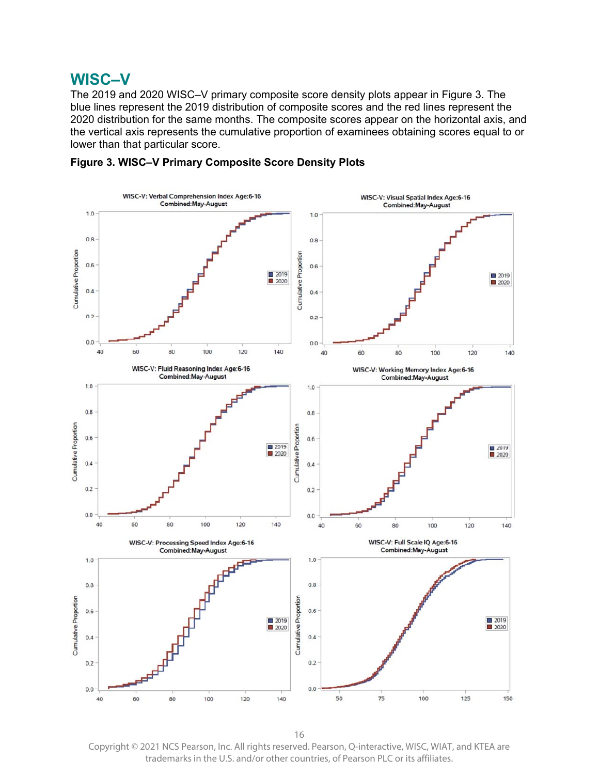### **WISC–V**

The 2019 and 2020 WISC–V primary composite score density plots appear in Figure 3. The blue lines represent the 2019 distribution of composite scores and the red lines represent the 2020 distribution for the same months. The composite scores appear on the horizontal axis, and the vertical axis represents the cumulative proportion of examinees obtaining scores equal to or lower than that particular score.



**Figure 3. WISC–V Primary Composite Score Density Plots** 

16 Copyright © 2021 NCS Pearson, Inc. All rights reserved. Pearson, Q-interactive, WISC, WIAT, and KTEA are trademarks in the U.S. and/or other countries, of Pearson PLC or its affiliates.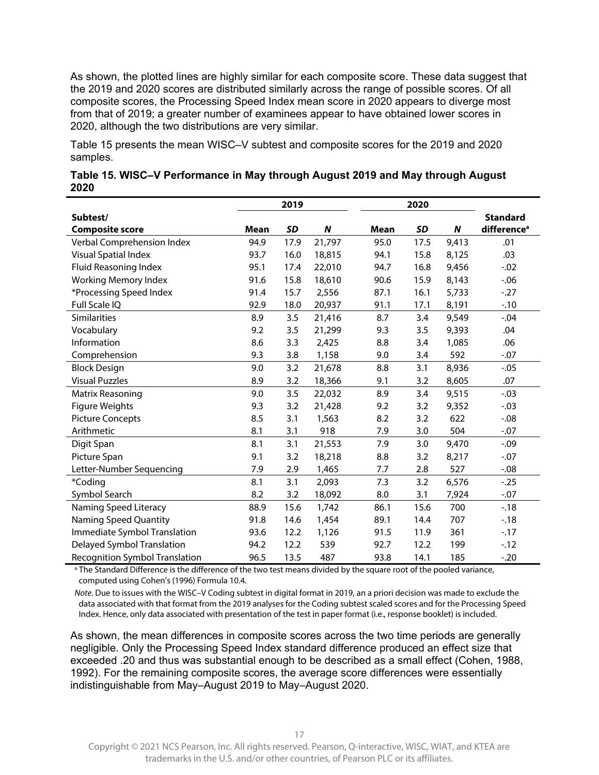As shown, the plotted lines are highly similar for each composite score. These data suggest that the 2019 and 2020 scores are distributed similarly across the range of possible scores. Of all composite scores, the Processing Speed Index mean score in 2020 appears to diverge most from that of 2019; a greater number of examinees appear to have obtained lower scores in 2020, although the two distributions are very similar.

Table 15 presents the mean WISC–V subtest and composite scores for the 2019 and 2020 samples.

|                                |             | 2019      |        |      | 2020      |       |                         |
|--------------------------------|-------------|-----------|--------|------|-----------|-------|-------------------------|
| Subtest/                       |             |           |        |      |           |       | <b>Standard</b>         |
| <b>Composite score</b>         | <b>Mean</b> | <b>SD</b> | N      | Mean | <b>SD</b> | N     | difference <sup>a</sup> |
| Verbal Comprehension Index     | 94.9        | 17.9      | 21,797 | 95.0 | 17.5      | 9,413 | .01                     |
| <b>Visual Spatial Index</b>    | 93.7        | 16.0      | 18,815 | 94.1 | 15.8      | 8,125 | .03                     |
| Fluid Reasoning Index          | 95.1        | 17.4      | 22,010 | 94.7 | 16.8      | 9,456 | $-.02$                  |
| <b>Working Memory Index</b>    | 91.6        | 15.8      | 18,610 | 90.6 | 15.9      | 8,143 | $-0.06$                 |
| *Processing Speed Index        | 91.4        | 15.7      | 2,556  | 87.1 | 16.1      | 5,733 | $-27$                   |
| Full Scale IQ                  | 92.9        | 18.0      | 20,937 | 91.1 | 17.1      | 8,191 | $-.10$                  |
| <b>Similarities</b>            | 8.9         | 3.5       | 21,416 | 8.7  | 3.4       | 9,549 | $-.04$                  |
| Vocabulary                     | 9.2         | 3.5       | 21,299 | 9.3  | 3.5       | 9,393 | .04                     |
| Information                    | 8.6         | 3.3       | 2,425  | 8.8  | 3.4       | 1,085 | .06                     |
| Comprehension                  | 9.3         | 3.8       | 1,158  | 9.0  | 3.4       | 592   | $-.07$                  |
| <b>Block Design</b>            | 9.0         | 3.2       | 21,678 | 8.8  | 3.1       | 8,936 | $-.05$                  |
| <b>Visual Puzzles</b>          | 8.9         | 3.2       | 18,366 | 9.1  | 3.2       | 8,605 | .07                     |
| Matrix Reasoning               | 9.0         | 3.5       | 22,032 | 8.9  | 3.4       | 9,515 | $-.03$                  |
| <b>Figure Weights</b>          | 9.3         | 3.2       | 21,428 | 9.2  | 3.2       | 9,352 | $-.03$                  |
| <b>Picture Concepts</b>        | 8.5         | 3.1       | 1,563  | 8.2  | 3.2       | 622   | $-0.08$                 |
| Arithmetic                     | 8.1         | 3.1       | 918    | 7.9  | 3.0       | 504   | $-.07$                  |
| Digit Span                     | 8.1         | 3.1       | 21,553 | 7.9  | 3.0       | 9,470 | $-.09$                  |
| Picture Span                   | 9.1         | 3.2       | 18,218 | 8.8  | 3.2       | 8,217 | $-.07$                  |
| Letter-Number Sequencing       | 7.9         | 2.9       | 1,465  | 7.7  | 2.8       | 527   | $-0.08$                 |
| *Coding                        | 8.1         | 3.1       | 2,093  | 7.3  | 3.2       | 6,576 | $-0.25$                 |
| Symbol Search                  | 8.2         | 3.2       | 18,092 | 8.0  | 3.1       | 7,924 | $-.07$                  |
| Naming Speed Literacy          | 88.9        | 15.6      | 1,742  | 86.1 | 15.6      | 700   | $-18$                   |
| Naming Speed Quantity          | 91.8        | 14.6      | 1,454  | 89.1 | 14.4      | 707   | $-18$                   |
| Immediate Symbol Translation   | 93.6        | 12.2      | 1,126  | 91.5 | 11.9      | 361   | $-17$                   |
| Delayed Symbol Translation     | 94.2        | 12.2      | 539    | 92.7 | 12.2      | 199   | $-12$                   |
| Recognition Symbol Translation | 96.5        | 13.5      | 487    | 93.8 | 14.1      | 185   | $-.20$                  |

| Table 15. WISC-V Performance in May through August 2019 and May through August |  |
|--------------------------------------------------------------------------------|--|
| 2020                                                                           |  |

<sup>a</sup> The Standard Difference is the difference of the two test means divided by the square root of the pooled variance, computed using Cohen's (1996) Formula 10.4.

Note. Due to issues with the WISC–V Coding subtest in digital format in 2019, an a priori decision was made to exclude the data associated with that format from the 2019 analyses for the Coding subtest scaled scores and for the Processing Speed Index. Hence, only data associated with presentation of the test in paper format (i.e., response booklet) is included.

As shown, the mean differences in composite scores across the two time periods are generally negligible. Only the Processing Speed Index standard difference produced an effect size that exceeded .20 and thus was substantial enough to be described as a small effect (Cohen, 1988, 1992). For the remaining composite scores, the average score differences were essentially indistinguishable from May–August 2019 to May–August 2020.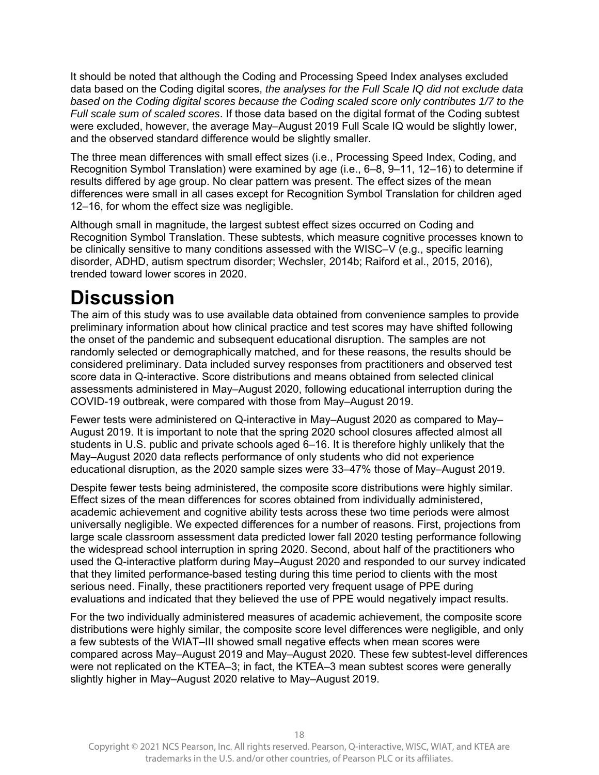It should be noted that although the Coding and Processing Speed Index analyses excluded data based on the Coding digital scores, *the analyses for the Full Scale IQ did not exclude data based on the Coding digital scores because the Coding scaled score only contributes 1/7 to the Full scale sum of scaled scores*. If those data based on the digital format of the Coding subtest were excluded, however, the average May–August 2019 Full Scale IQ would be slightly lower, and the observed standard difference would be slightly smaller.

The three mean differences with small effect sizes (i.e., Processing Speed Index, Coding, and Recognition Symbol Translation) were examined by age (i.e., 6–8, 9–11, 12–16) to determine if results differed by age group. No clear pattern was present. The effect sizes of the mean differences were small in all cases except for Recognition Symbol Translation for children aged 12–16, for whom the effect size was negligible.

Although small in magnitude, the largest subtest effect sizes occurred on Coding and Recognition Symbol Translation. These subtests, which measure cognitive processes known to be clinically sensitive to many conditions assessed with the WISC–V (e.g., specific learning disorder, ADHD, autism spectrum disorder; Wechsler, 2014b; Raiford et al., 2015, 2016), trended toward lower scores in 2020.

# **Discussion**

The aim of this study was to use available data obtained from convenience samples to provide preliminary information about how clinical practice and test scores may have shifted following the onset of the pandemic and subsequent educational disruption. The samples are not randomly selected or demographically matched, and for these reasons, the results should be considered preliminary. Data included survey responses from practitioners and observed test score data in Q-interactive. Score distributions and means obtained from selected clinical assessments administered in May–August 2020, following educational interruption during the COVID-19 outbreak, were compared with those from May–August 2019.

Fewer tests were administered on Q-interactive in May–August 2020 as compared to May– August 2019. It is important to note that the spring 2020 school closures affected almost all students in U.S. public and private schools aged 6–16. It is therefore highly unlikely that the May–August 2020 data reflects performance of only students who did not experience educational disruption, as the 2020 sample sizes were 33–47% those of May–August 2019.

Despite fewer tests being administered, the composite score distributions were highly similar. Effect sizes of the mean differences for scores obtained from individually administered, academic achievement and cognitive ability tests across these two time periods were almost universally negligible. We expected differences for a number of reasons. First, projections from large scale classroom assessment data predicted lower fall 2020 testing performance following the widespread school interruption in spring 2020. Second, about half of the practitioners who used the Q-interactive platform during May–August 2020 and responded to our survey indicated that they limited performance-based testing during this time period to clients with the most serious need. Finally, these practitioners reported very frequent usage of PPE during evaluations and indicated that they believed the use of PPE would negatively impact results.

For the two individually administered measures of academic achievement, the composite score distributions were highly similar, the composite score level differences were negligible, and only a few subtests of the WIAT–III showed small negative effects when mean scores were compared across May–August 2019 and May–August 2020. These few subtest-level differences were not replicated on the KTEA–3; in fact, the KTEA–3 mean subtest scores were generally slightly higher in May–August 2020 relative to May–August 2019.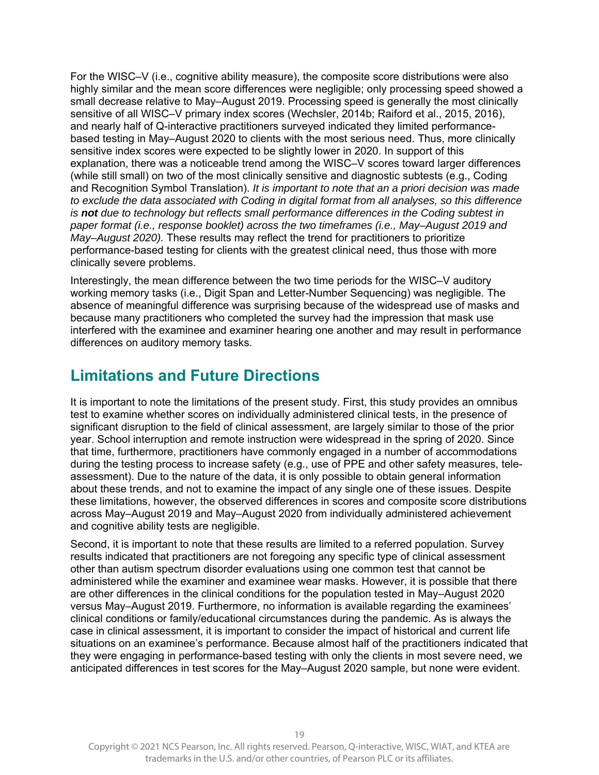For the WISC–V (i.e., cognitive ability measure), the composite score distributions were also highly similar and the mean score differences were negligible; only processing speed showed a small decrease relative to May–August 2019. Processing speed is generally the most clinically sensitive of all WISC–V primary index scores (Wechsler, 2014b; Raiford et al., 2015, 2016), and nearly half of Q-interactive practitioners surveyed indicated they limited performancebased testing in May–August 2020 to clients with the most serious need. Thus, more clinically sensitive index scores were expected to be slightly lower in 2020. In support of this explanation, there was a noticeable trend among the WISC–V scores toward larger differences (while still small) on two of the most clinically sensitive and diagnostic subtests (e.g., Coding and Recognition Symbol Translation). *It is important to note that an a priori decision was made to exclude the data associated with Coding in digital format from all analyses, so this difference is not due to technology but reflects small performance differences in the Coding subtest in paper format (i.e., response booklet) across the two timeframes (i.e., May–August 2019 and May–August 2020).* These results may reflect the trend for practitioners to prioritize performance-based testing for clients with the greatest clinical need, thus those with more clinically severe problems.

Interestingly, the mean difference between the two time periods for the WISC–V auditory working memory tasks (i.e., Digit Span and Letter-Number Sequencing) was negligible. The absence of meaningful difference was surprising because of the widespread use of masks and because many practitioners who completed the survey had the impression that mask use interfered with the examinee and examiner hearing one another and may result in performance differences on auditory memory tasks.

## **Limitations and Future Directions**

It is important to note the limitations of the present study. First, this study provides an omnibus test to examine whether scores on individually administered clinical tests, in the presence of significant disruption to the field of clinical assessment, are largely similar to those of the prior year. School interruption and remote instruction were widespread in the spring of 2020. Since that time, furthermore, practitioners have commonly engaged in a number of accommodations during the testing process to increase safety (e.g., use of PPE and other safety measures, teleassessment). Due to the nature of the data, it is only possible to obtain general information about these trends, and not to examine the impact of any single one of these issues. Despite these limitations, however, the observed differences in scores and composite score distributions across May–August 2019 and May–August 2020 from individually administered achievement and cognitive ability tests are negligible.

Second, it is important to note that these results are limited to a referred population. Survey results indicated that practitioners are not foregoing any specific type of clinical assessment other than autism spectrum disorder evaluations using one common test that cannot be administered while the examiner and examinee wear masks. However, it is possible that there are other differences in the clinical conditions for the population tested in May–August 2020 versus May–August 2019. Furthermore, no information is available regarding the examinees' clinical conditions or family/educational circumstances during the pandemic. As is always the case in clinical assessment, it is important to consider the impact of historical and current life situations on an examinee's performance. Because almost half of the practitioners indicated that they were engaging in performance-based testing with only the clients in most severe need, we anticipated differences in test scores for the May–August 2020 sample, but none were evident.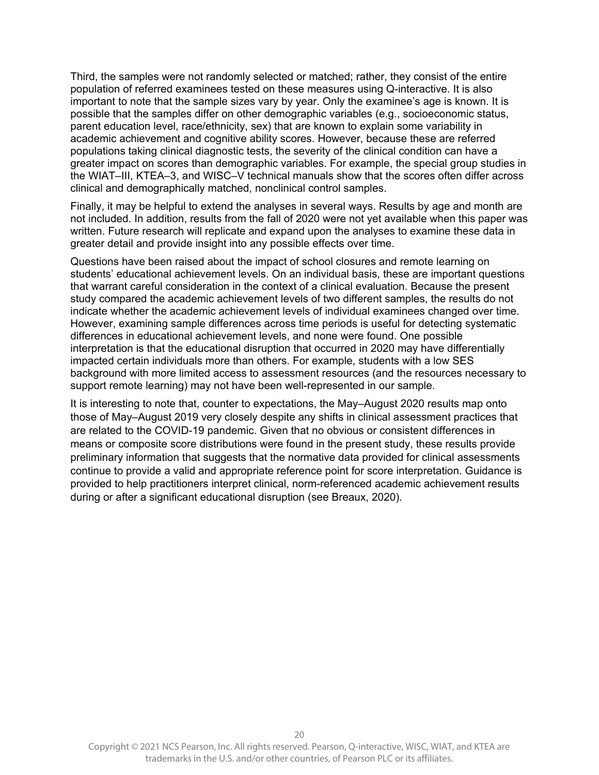Third, the samples were not randomly selected or matched; rather, they consist of the entire population of referred examinees tested on these measures using Q-interactive. It is also important to note that the sample sizes vary by year. Only the examinee's age is known. It is possible that the samples differ on other demographic variables (e.g., socioeconomic status, parent education level, race/ethnicity, sex) that are known to explain some variability in academic achievement and cognitive ability scores. However, because these are referred populations taking clinical diagnostic tests, the severity of the clinical condition can have a greater impact on scores than demographic variables. For example, the special group studies in the WIAT–III, KTEA–3, and WISC–V technical manuals show that the scores often differ across clinical and demographically matched, nonclinical control samples.

Finally, it may be helpful to extend the analyses in several ways. Results by age and month are not included. In addition, results from the fall of 2020 were not yet available when this paper was written. Future research will replicate and expand upon the analyses to examine these data in greater detail and provide insight into any possible effects over time.

Questions have been raised about the impact of school closures and remote learning on students' educational achievement levels. On an individual basis, these are important questions that warrant careful consideration in the context of a clinical evaluation. Because the present study compared the academic achievement levels of two different samples, the results do not indicate whether the academic achievement levels of individual examinees changed over time. However, examining sample differences across time periods is useful for detecting systematic differences in educational achievement levels, and none were found. One possible interpretation is that the educational disruption that occurred in 2020 may have differentially impacted certain individuals more than others. For example, students with a low SES background with more limited access to assessment resources (and the resources necessary to support remote learning) may not have been well-represented in our sample.

It is interesting to note that, counter to expectations, the May–August 2020 results map onto those of May–August 2019 very closely despite any shifts in clinical assessment practices that are related to the COVID-19 pandemic. Given that no obvious or consistent differences in means or composite score distributions were found in the present study, these results provide preliminary information that suggests that the normative data provided for clinical assessments continue to provide a valid and appropriate reference point for score interpretation. Guidance is provided to help practitioners interpret clinical, norm-referenced academic achievement results during or after a significant educational disruption (see Breaux, 2020).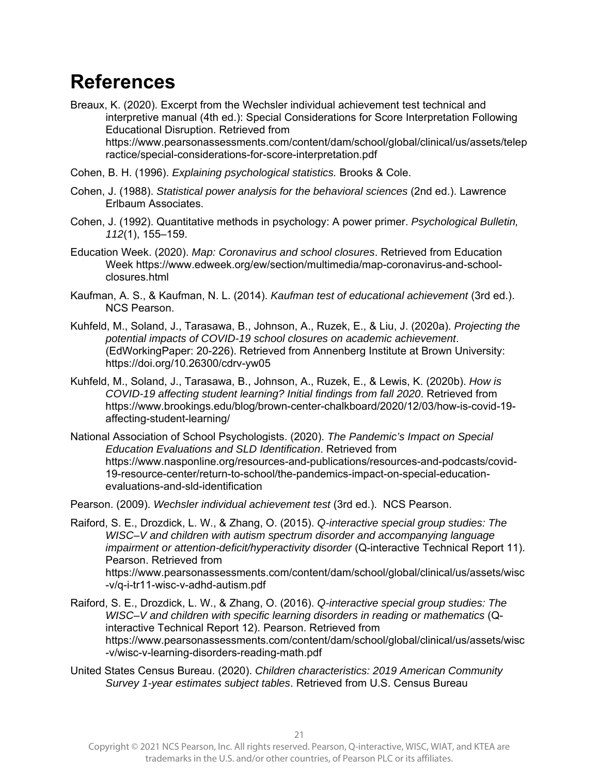# **References**

- Breaux, K. (2020). Excerpt from the Wechsler individual achievement test technical and interpretive manual (4th ed.): Special Considerations for Score Interpretation Following Educational Disruption. Retrieved from https://www.pearsonassessments.com/content/dam/school/global/clinical/us/assets/telep ractice/special-considerations-for-score-interpretation.pdf
- Cohen, B. H. (1996). *Explaining psychological statistics.* Brooks & Cole.
- Cohen, J. (1988). *Statistical power analysis for the behavioral sciences* (2nd ed.). Lawrence Erlbaum Associates.
- Cohen, J. (1992). Quantitative methods in psychology: A power primer. *Psychological Bulletin, 112*(1), 155–159.
- Education Week. (2020). *Map: Coronavirus and school closures*. Retrieved from Education Week https://www.edweek.org/ew/section/multimedia/map-coronavirus-and-schoolclosures.html
- Kaufman, A. S., & Kaufman, N. L. (2014). *Kaufman test of educational achievement* (3rd ed.). NCS Pearson.
- Kuhfeld, M., Soland, J., Tarasawa, B., Johnson, A., Ruzek, E., & Liu, J. (2020a). *Projecting the potential impacts of COVID-19 school closures on academic achievement*. (EdWorkingPaper: 20-226). Retrieved from Annenberg Institute at Brown University: https://doi.org/10.26300/cdrv-yw05
- Kuhfeld, M., Soland, J., Tarasawa, B., Johnson, A., Ruzek, E., & Lewis, K. (2020b). *How is COVID-19 affecting student learning? Initial findings from fall 2020*. Retrieved from https://www.brookings.edu/blog/brown-center-chalkboard/2020/12/03/how-is-covid-19 affecting-student-learning/
- National Association of School Psychologists. (2020). *The Pandemic's Impact on Special Education Evaluations and SLD Identification*. Retrieved from https://www.nasponline.org/resources-and-publications/resources-and-podcasts/covid-19-resource-center/return-to-school/the-pandemics-impact-on-special-educationevaluations-and-sld-identification
- Pearson. (2009). *Wechsler individual achievement test* (3rd ed.). NCS Pearson.
- Raiford, S. E., Drozdick, L. W., & Zhang, O. (2015). *Q-interactive special group studies: The WISC–V and children with autism spectrum disorder and accompanying language impairment or attention-deficit/hyperactivity disorder* (Q-interactive Technical Report 11). Pearson. Retrieved from https://www.pearsonassessments.com/content/dam/school/global/clinical/us/assets/wisc -v/q-i-tr11-wisc-v-adhd-autism.pdf
- Raiford, S. E., Drozdick, L. W., & Zhang, O. (2016). *Q-interactive special group studies: The WISC–V and children with specific learning disorders in reading or mathematics* (Qinteractive Technical Report 12). Pearson. Retrieved from https://www.pearsonassessments.com/content/dam/school/global/clinical/us/assets/wisc -v/wisc-v-learning-disorders-reading-math.pdf
- United States Census Bureau. (2020). *Children characteristics: 2019 American Community Survey 1-year estimates subject tables*. Retrieved from U.S. Census Bureau